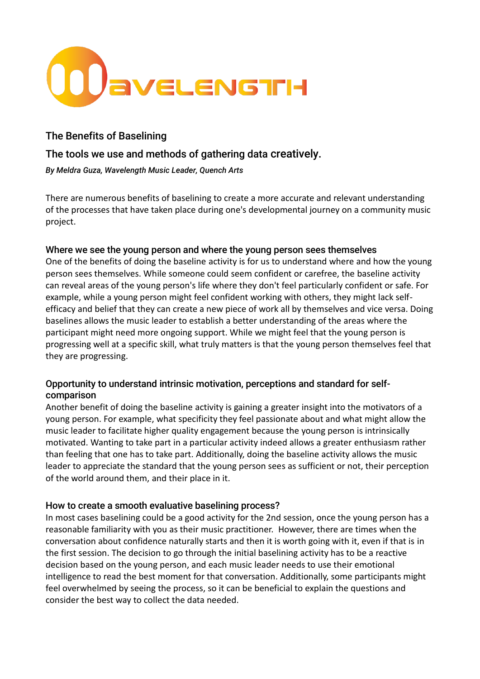

# The Benefits of Baselining

## The tools we use and methods of gathering data creatively.

*By Meldra Guza, Wavelength Music Leader, Quench Arts*

There are numerous benefits of baselining to create a more accurate and relevant understanding of the processes that have taken place during one's developmental journey on a community music project.

## Where we see the young person and where the young person sees themselves

One of the benefits of doing the baseline activity is for us to understand where and how the young person sees themselves. While someone could seem confident or carefree, the baseline activity can reveal areas of the young person's life where they don't feel particularly confident or safe. For example, while a young person might feel confident working with others, they might lack selfefficacy and belief that they can create a new piece of work all by themselves and vice versa. Doing baselines allows the music leader to establish a better understanding of the areas where the participant might need more ongoing support. While we might feel that the young person is progressing well at a specific skill, what truly matters is that the young person themselves feel that they are progressing.

## Opportunity to understand intrinsic motivation, perceptions and standard for selfcomparison

Another benefit of doing the baseline activity is gaining a greater insight into the motivators of a young person. For example, what specificity they feel passionate about and what might allow the music leader to facilitate higher quality engagement because the young person is intrinsically motivated. Wanting to take part in a particular activity indeed allows a greater enthusiasm rather than feeling that one has to take part. Additionally, doing the baseline activity allows the music leader to appreciate the standard that the young person sees as sufficient or not, their perception of the world around them, and their place in it.

## How to create a smooth evaluative baselining process?

In most cases baselining could be a good activity for the 2nd session, once the young person has a reasonable familiarity with you as their music practitioner. However, there are times when the conversation about confidence naturally starts and then it is worth going with it, even if that is in the first session. The decision to go through the initial baselining activity has to be a reactive decision based on the young person, and each music leader needs to use their emotional intelligence to read the best moment for that conversation. Additionally, some participants might feel overwhelmed by seeing the process, so it can be beneficial to explain the questions and consider the best way to collect the data needed.